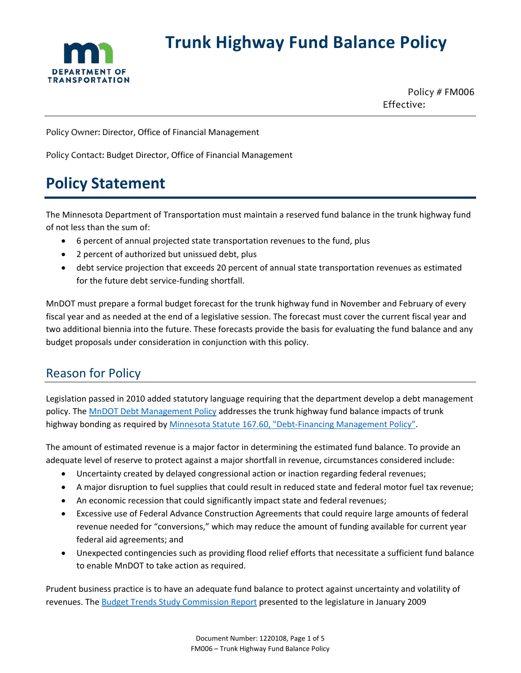

# **Trunk Highway Fund Balance Policy**

Policy # FM006 Effective:

Policy Owner: Director, Office of Financial Management

Policy Contact: Budget Director, Office of Financial Management

# **Policy Statement**

The Minnesota Department of Transportation must maintain a reserved fund balance in the trunk highway fund of not less than the sum of:

- 6 percent of annual projected state transportation revenues to the fund, plus
- 2 percent of authorized but unissued debt, plus
- debt service projection that exceeds 20 percent of annual state transportation revenues as estimated for the future debt service-funding shortfall.

MnDOT must prepare a formal budget forecast for the trunk highway fund in November and February of every fiscal year and as needed at the end of a legislative session. The forecast must cover the current fiscal year and two additional biennia into the future. These forecasts provide the basis for evaluating the fund balance and any budget proposals under consideration in conjunction with this policy.

# Reason for Policy

Legislation passed in 2010 added statutory language requiring that the department develop a debt management policy. Th[e MnDOT Debt Management Policy](http://www.dot.state.mn.us/policy/financial/fm007.html) addresses the trunk highway fund balance impacts of trunk highway bonding as required by [Minnesota Statute 167.60, "Debt-Financing Management Policy".](https://www.revisor.mn.gov/statutes/?id=167.60)

The amount of estimated revenue is a major factor in determining the estimated fund balance. To provide an adequate level of reserve to protect against a major shortfall in revenue, circumstances considered include:

- Uncertainty created by delayed congressional action or inaction regarding federal revenues;
- A major disruption to fuel supplies that could result in reduced state and federal motor fuel tax revenue;
- An economic recession that could significantly impact state and federal revenues;
- Excessive use of Federal Advance Construction Agreements that could require large amounts of federal revenue needed for "conversions," which may reduce the amount of funding available for current year federal aid agreements; and
- Unexpected contingencies such as providing flood relief efforts that necessitate a sufficient fund balance to enable MnDOT to take action as required.

Prudent business practice is to have an adequate fund balance to protect against uncertainty and volatility of revenues. The [Budget Trends Study Commission Report](https://mn.gov/mmb/assets/BudgetTrendsStudyCommission-Jan2009_tcm1059-126712.pdf) presented to the legislature in January 2009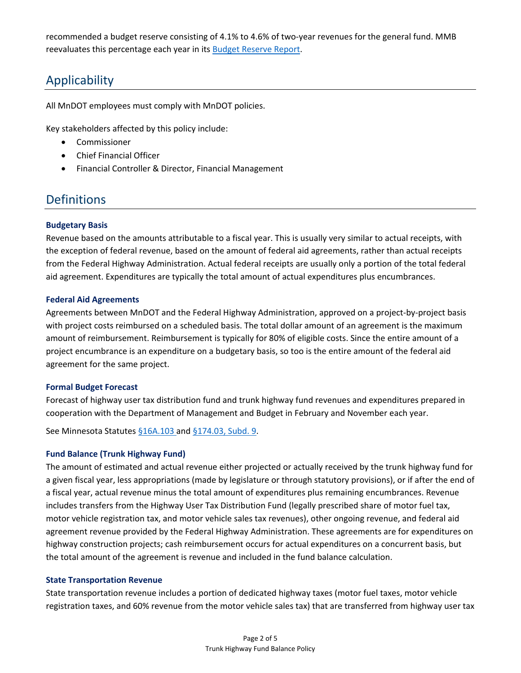recommended a budget reserve consisting of 4.1% to 4.6% of two-year revenues for the general fund. MMB reevaluates this percentage each year in its [Budget Reserve Report.](https://www.leg.state.mn.us/lrl/mndocs/mandates_detail?orderid=2044)

# Applicability

All MnDOT employees must comply with MnDOT policies.

Key stakeholders affected by this policy include:

- Commissioner
- Chief Financial Officer
- Financial Controller & Director, Financial Management

### **Definitions**

#### **Budgetary Basis**

Revenue based on the amounts attributable to a fiscal year. This is usually very similar to actual receipts, with the exception of federal revenue, based on the amount of federal aid agreements, rather than actual receipts from the Federal Highway Administration. Actual federal receipts are usually only a portion of the total federal aid agreement. Expenditures are typically the total amount of actual expenditures plus encumbrances.

#### **Federal Aid Agreements**

Agreements between MnDOT and the Federal Highway Administration, approved on a project-by-project basis with project costs reimbursed on a scheduled basis. The total dollar amount of an agreement is the maximum amount of reimbursement. Reimbursement is typically for 80% of eligible costs. Since the entire amount of a project encumbrance is an expenditure on a budgetary basis, so too is the entire amount of the federal aid agreement for the same project.

#### **Formal Budget Forecast**

Forecast of highway user tax distribution fund and trunk highway fund revenues and expenditures prepared in cooperation with the Department of Management and Budget in February and November each year.

See Minnesota Statutes [§16A.103 a](https://www.revisor.mn.gov/statutes/cite/16A.103)n[d §174.03, Subd. 9.](https://www.revisor.mn.gov/statutes/cite/174.03)

#### **Fund Balance (Trunk Highway Fund)**

The amount of estimated and actual revenue either projected or actually received by the trunk highway fund for a given fiscal year, less appropriations (made by legislature or through statutory provisions), or if after the end of a fiscal year, actual revenue minus the total amount of expenditures plus remaining encumbrances. Revenue includes transfers from the Highway User Tax Distribution Fund (legally prescribed share of motor fuel tax, motor vehicle registration tax, and motor vehicle sales tax revenues), other ongoing revenue, and federal aid agreement revenue provided by the Federal Highway Administration. These agreements are for expenditures on highway construction projects; cash reimbursement occurs for actual expenditures on a concurrent basis, but the total amount of the agreement is revenue and included in the fund balance calculation.

#### **State Transportation Revenue**

State transportation revenue includes a portion of dedicated highway taxes (motor fuel taxes, motor vehicle registration taxes, and 60% revenue from the motor vehicle sales tax) that are transferred from highway user tax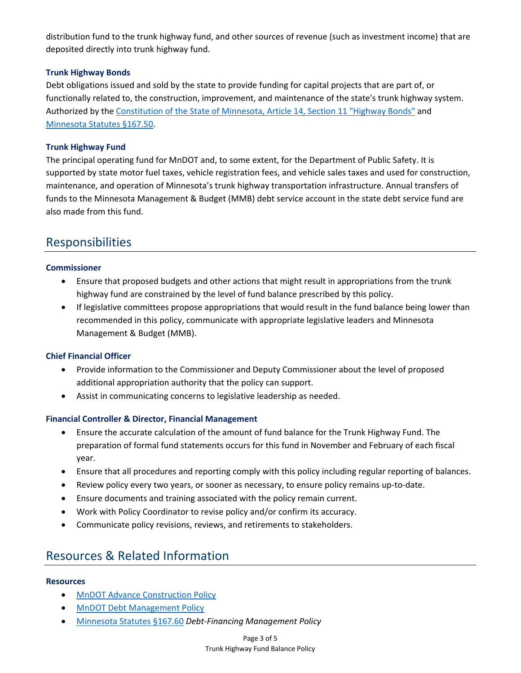distribution fund to the trunk highway fund, and other sources of revenue (such as investment income) that are deposited directly into trunk highway fund.

### **Trunk Highway Bonds**

Debt obligations issued and sold by the state to provide funding for capital projects that are part of, or functionally related to, the construction, improvement, and maintenance of the state's trunk highway system. Authorized by the [Constitution of the State of Minnesota, Article 14, Section 11 "Highway Bonds"](https://www.revisor.leg.state.mn.us/constitution/) and [Minnesota Statutes §167.50.](https://www.revisor.mn.gov/statutes/cite/167.50)

### **Trunk Highway Fund**

The principal operating fund for MnDOT and, to some extent, for the Department of Public Safety. It is supported by state motor fuel taxes, vehicle registration fees, and vehicle sales taxes and used for construction, maintenance, and operation of Minnesota's trunk highway transportation infrastructure. Annual transfers of funds to the Minnesota Management & Budget (MMB) debt service account in the state debt service fund are also made from this fund.

## Responsibilities

### **Commissioner**

- Ensure that proposed budgets and other actions that might result in appropriations from the trunk highway fund are constrained by the level of fund balance prescribed by this policy.
- If legislative committees propose appropriations that would result in the fund balance being lower than recommended in this policy, communicate with appropriate legislative leaders and Minnesota Management & Budget (MMB).

### **Chief Financial Officer**

- Provide information to the Commissioner and Deputy Commissioner about the level of proposed additional appropriation authority that the policy can support.
- Assist in communicating concerns to legislative leadership as needed.

### **Financial Controller & Director, Financial Management**

- Ensure the accurate calculation of the amount of fund balance for the Trunk Highway Fund. The preparation of formal fund statements occurs for this fund in November and February of each fiscal year.
- Ensure that all procedures and reporting comply with this policy including regular reporting of balances.
- Review policy every two years, or sooner as necessary, to ensure policy remains up-to-date.
- Ensure documents and training associated with the policy remain current.
- Work with Policy Coordinator to revise policy and/or confirm its accuracy.
- Communicate policy revisions, reviews, and retirements to stakeholders.

## Resources & Related Information

### **Resources**

- [MnDOT Advance Construction Policy](http://www.dot.state.mn.us/policy/financial/fm008.html)
- [MnDOT Debt Management Policy](http://www.dot.state.mn.us/policy/financial/fm007.html)
- [Minnesota Statutes §167.60](https://www.revisor.mn.gov/statutes/?id=167.60) *Debt-Financing Management Policy*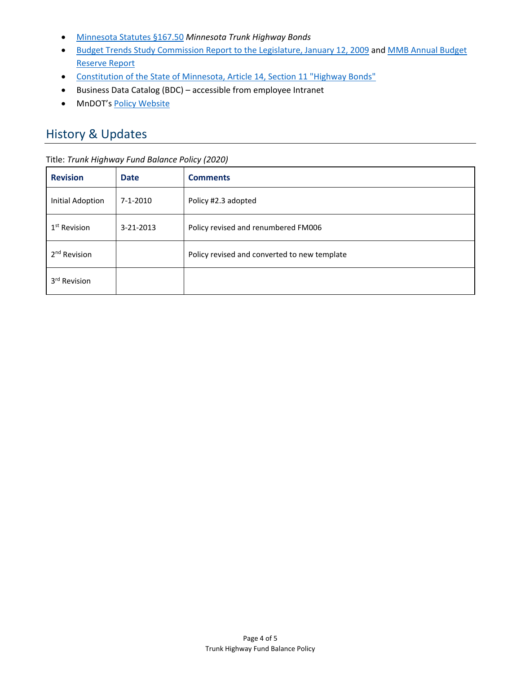- [Minnesota Statutes §167.50](https://www.revisor.mn.gov/statutes/cite/167.50) *Minnesota Trunk Highway Bonds*
- [Budget Trends Study Commission Report to the Legislature, January 12, 2009](https://mn.gov/mmb/assets/BudgetTrendsStudyCommission-Jan2009_tcm1059-126712.pdf) and [MMB Annual Budget](https://www.leg.state.mn.us/lrl/mndocs/mandates_detail?orderid=2044)  [Reserve Report](https://www.leg.state.mn.us/lrl/mndocs/mandates_detail?orderid=2044)
- [Constitution of the State of Minnesota, Article 14, Section 11 "Highway Bonds"](https://www.revisor.leg.state.mn.us/constitution/)
- Business Data Catalog (BDC) accessible from employee Intranet
- MnDOT's [Policy Website](http://www.dot.state.mn.us/policy/index.html)

# History & Updates

#### Title: *Trunk Highway Fund Balance Policy (2020)*

| <b>Revision</b>          | <b>Date</b> | <b>Comments</b>                              |
|--------------------------|-------------|----------------------------------------------|
| <b>Initial Adoption</b>  | 7-1-2010    | Policy #2.3 adopted                          |
| 1 <sup>st</sup> Revision | 3-21-2013   | Policy revised and renumbered FM006          |
| 2 <sup>nd</sup> Revision |             | Policy revised and converted to new template |
| 3rd Revision             |             |                                              |